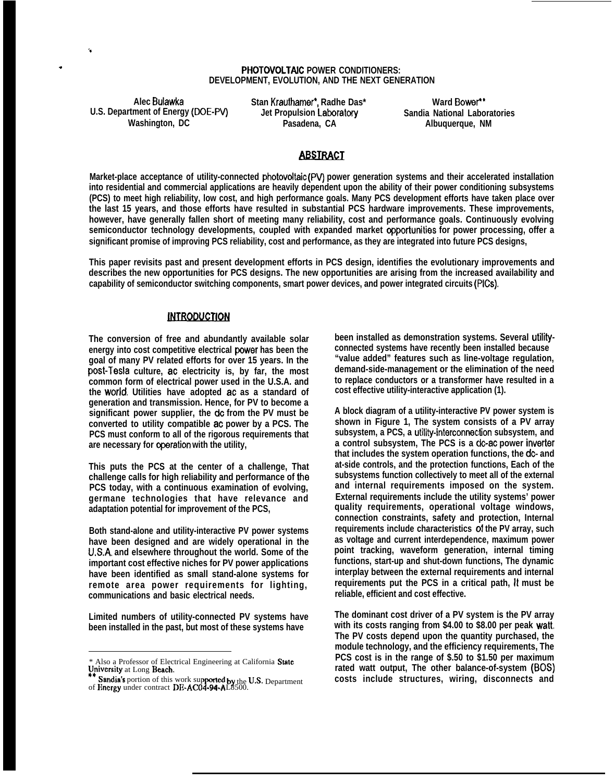### **PHOTOVOLTAIC POWER CONDITIONERS: DEVELOPMENT, EVOLUTION, AND THE NEXT GENERATION**

U.S. Department of Energy (DOE-PV) **Jet Propulsion Laboratories**<br>Washington, DC **Pasadena, CA** 

**',**

.

**Alec Bulawka Stan Krauthamer', Radhe Das\* Ward Bower"**

**Washington, DC Pasadena, CA Albuquerque, NM**

# **ABSTRACT**

**Market-place acceptance of utility-connected photovoltaic (PV) power generation systems and their accelerated installation into residential and commercial applications are heavily dependent upon the ability of their power conditioning subsystems (PCS) to meet high reliability, low cost, and high performance goals. Many PCS development efforts have taken place over the last 15 years, and those efforts have resulted in substantial PCS hardware improvements. These improvements, however, have generally fallen short of meeting many reliability, cost and performance goals. Continuously evolving semiconductor technology developments, coupled with expanded market Oppoflunities for power processing, offer a significant promise of improving PCS reliability, cost and performance, as they are integrated into future PCS designs,**

**This paper revisits past and present development efforts in PCS design, identifies the evolutionary improvements and describes the new opportunities for PCS designs. The new opportunities are arising from the increased availability and capability of semiconductor switching components, smart power devices, and power integrated circuits (PICS),**

## **INTRODUCTION**

**The conversion of free and abundantly available solar** energy into cost competitive electrical power has been the **goal of many PV related efforts for over 15 years. In the post-Tesla culture, ac electricity is, by far, the most common form of electrical power used in the U.S.A. and the worid. Utilities have adopted ac as a standard of generation and transmission. Hence, for PV to become a significant power supplier, the dc from the PV must be converted to utility compatible ac power by a PCS. The PCS must conform to all of the rigorous requirements that are necessary for cperation with the utility,**

**This puts the PCS at the center of a challenge, That challenge calls for high reliability and performance of the PCS today, with a continuous examination of evolving, germane technologies that have relevance and adaptation potential for improvement of the PCS,**

**Both stand-alone and utility-interactive PV power systems have been designed and are widely operational in the U.S.A. and elsewhere throughout the world. Some of the important cost effective niches for PV power applications have been identified as small stand-alone systems for remote area power requirements for lighting, communications and basic electrical needs.**

**Limited numbers of utility-connected PV systems have been installed in the past, but most of these systems have**

**been installed as demonstration systems. Several utilityconnected systems have recently been installed because "value added" features such as line-voltage regulation, demand-side-management or the elimination of the need to replace conductors or a transformer have resulted in a cost effective utility-interactive application (1).**

**A block diagram of a utility-interactive PV power system is shown in Figure 1, The system consists of a PV array subsystem, a PCS, a utilify-interconnection subsystem, and a control subsystem, The PCS is a dc-ac power inverter that includes the system operation functions, the dc- and at-side controls, and the protection functions, Each of the subsystems function collectively to meet all of the external and internal requirements imposed on the system. External requirements include the utility systems' power quality requirements, operational voltage windows, connection constraints, safety and protection, Internal requirements include characteristics of the PV array, such as voltage and current interdependence, maximum power point tracking, waveform generation, internal timing functions, start-up and shut-down functions, The dynamic interplay between the external requirements and internal requirements put the PCS in a critical path, U must be reliable, efficient and cost effective.**

**The dominant cost driver of a PV system is the PV array with its costs ranging from \$4.00 to \$8.00 per peak watt, The PV costs depend upon the quantity purchased, the module technology, and the efficiency requirements, The PCS cost is in the range of \$.50 to \$1.50 per maximum rated watt output, The other balance-of-system (BOS) costs include structures, wiring, disconnects and**

<sup>\*</sup> Also a Professor of Electrical Engineering at California State University at Long Beach.

University at Long Beach.<br>\*\* Sandia's portion of this work supported by the U.S. Department<br>of Energy under contract DE-AC04-94-AL8500.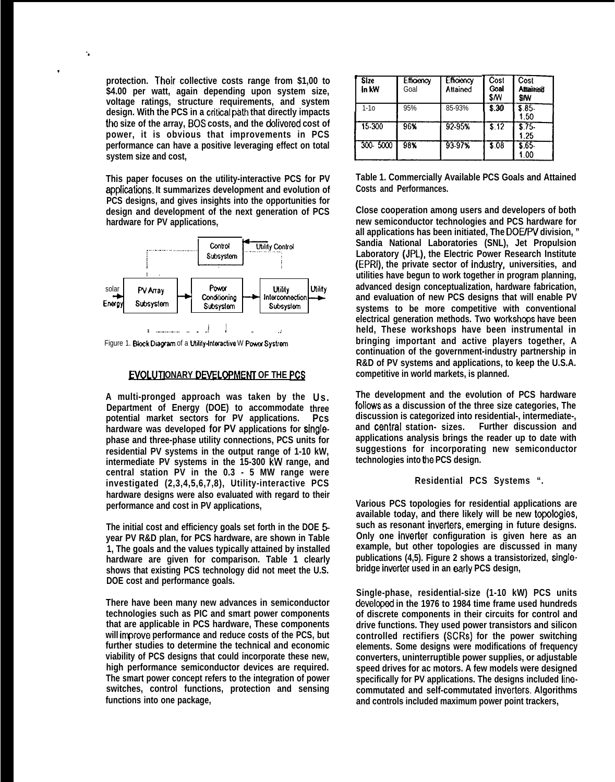protection. Their collective costs range from \$1,00 to \$4.00 per watt, again depending upon system size, voltage ratings, structure requirements, and system design. With the PCS in a critical path that directly impacts the size of the array, BOS costs, and the delivered cost of power, it is obvious that improvements in PCS performance can have a positive leveraging effect on total system size and cost.

This paper focuses on the utility-interactive PCS for PV applications. It summarizes development and evolution of PCS designs, and gives insights into the opportunities for design and development of the next generation of PCS hardware for PV applications,



Figure 1. Block Diagram of a Utility-Interactive W Power Systrem

## EVOLUTIONARY DEVELOPMENT OF THE PCS

A multi-pronged approach was taken by the Us. Department of Energy (DOE) to accommodate three potential market sectors for PV applications. Pcs hardware was developed for PV applications for singlephase and three-phase utility connections, PCS units for residential PV systems in the output range of 1-10 kW, intermediate PV systems in the 15-300 kW range, and central station PV in the 0.3 - 5 MW range were investigated (2,3,4,5,6,7,8), Utility-interactive PCS hardware designs were also evaluated with regard to their performance and cost in PV applications,

The initial cost and efficiency goals set forth in the DOE 5year PV R&D plan, for PCS hardware, are shown in Table 1, The goals and the values typically attained by installed hardware are given for comparison. Table 1 clearly shows that existing PCS technology did not meet the U.S. DOE cost and performance goals.

There have been many new advances in semiconductor technologies such as PIC and smart power components that are applicable in PCS hardware, These components will improve performance and reduce costs of the PCS, but further studies to determine the technical and economic viability of PCS designs that could incorporate these new, high performance semiconductor devices are required. The smart power concept refers to the integration of power switches, control functions, protection and sensing functions into one package,

| Size<br>In KW | Efficiency<br>Goal | Efficiency<br>Attained | Cost<br>Goal<br><b>S/W</b> | Cost<br><b>Attained!</b><br>SW |
|---------------|--------------------|------------------------|----------------------------|--------------------------------|
| $1-10$        | 95%                | 85-93%                 | 3.30                       | \$.85<br>1.50                  |
| 15-300        | 96%                | 92-95%                 | \$12                       | \$.75<br>1.25                  |
| 300-5000      | 98%                | 93.97%                 | \$08                       | \$.65<br>1.00                  |

Table 1. Commercially Available PCS Goals and Attained Costs and Performances.

Close cooperation among users and developers of both new semiconductor technologies and PCS hardware for all applications has been initiated. The DOE/PV division. " Sandia National Laboratories (SNL), Jet Propulsion Laboratory (JPL), the Electric Power Research Institute (EPRI), the private sector of industry, universities, and utilities have begun to work together in program planning, advanced design conceptualization, hardware fabrication, and evaluation of new PCS designs that will enable PV systems to be more competitive with conventional electrical generation methods. Two workshops have been held, These workshops have been instrumental in bringing important and active players together, A continuation of the government-industry partnership in R&D of PV systems and applications, to keep the U.S.A. competitive in world markets, is planned.

The development and the evolution of PCS hardware follows as a discussion of the three size categories, The discussion is categorized into residential-, intermediate-, and central station- sizes. Further discussion and applications analysis brings the reader up to date with suggestions for incorporating new semiconductor technologies into the PCS design.

### Residential PCS Systems ".

Various PCS topologies for residential applications are available today, and there likely will be new topologies, such as resonant inverters, emerging in future designs. Only one inverter configuration is given here as an example, but other topologies are discussed in many publications (4.5). Figure 2 shows a transistorized, singlebridge inverter used in an early PCS design,

Single-phase, residential-size (1-10 kW) PCS units developed in the 1976 to 1984 time frame used hundreds of discrete components in their circuits for control and drive functions. They used power transistors and silicon controlled rectifiers (SCRs) for the power switching elements. Some designs were modifications of frequency converters, uninterruptible power supplies, or adjustable speed drives for ac motors. A few models were designed specifically for PV applications. The designs included linecommutated and self-commutated inverters. Algorithms and controls included maximum power point trackers,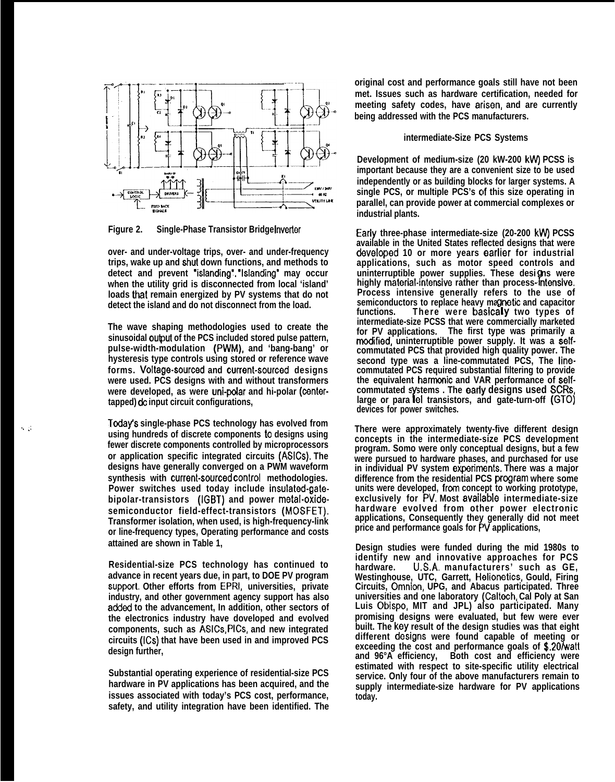

**Figure 2.** Single-Phase Transistor Bridge Inverter

**over- and under-voltage trips, over- and under-frequency trips, wake up and shut down functions, and methods to** detect and prevent "islanding". "Islanding" may occur **when the utility grid is disconnected from local 'island' loads that remain energized by PV systems that do not detect the island and do not disconnect from the load.**

**The wave shaping methodologies used to create the sinusoidal output of the PCS included stored pulse pattern, pulse-width-modulation (PWM), and 'bang-bang' or hysteresis type controls using stored or reference wave forms. Voltage-sourced and current-sourced designs were used. PCS designs with and without transformers were developed, as were uni-polar and hi-polar (centertapped) ck input circuit configurations,**

**Tcday's single-phase PCS technology has evolved from using hundreds of discrete components to designs using fewer discrete components controlled by microprocessors or application specific integrated circuits (ASiCs). The designs have generally converged on a PWM waveform synthesis with current-sourced controi methodologies. Power switches used today include insulated-gatebipolar-transistors (iGBT) and power metai-oxidesemiconductor field-effect-transistors (MOSFET). Transformer isolation, when used, is high-frequency-link or line-frequency types, Operating performance and costs attained are shown in Table 1,**

**Residential-size PCS technology has continued to advance in recent years due, in part, to DOE PV program supporl, Other efforts from EPRI, universities, private industry, and other government agency support has also** added to the advancement, In addition, other sectors of **the electronics industry have doveloped and evolved components, such as ASICS, PICS, and new integrated circuits (ICS) that have been used in and improved PCS design further,**

**Substantial operating experience of residential-size PCS hardware in PV applications has been acquired, and the issues associated with today's PCS cost, performance, safety, and utility integration have been identified. The** **original cost and performance goals still have not been met. Issues such as hardware certification, needed for** meeting safety codes, have arisen, and are currently **being addressed with the PCS manufacturers.**

#### **intermediate-Size PCS Systems**

**Development of medium-size (20 kW-200 kw) PCSS is important because they are a convenient size to be used independently or as building blocks for larger systems. A single PCS, or multiple PCS's clf this size operating in parallel, can provide power at commercial complexes or industrial plants.**

**Eariy three-phase intermediate-size (20-200 kw) PCSS available in the United States reflected designs that were doveioped 10 or more years eariier for industrial applications, such as motor speed controls and uninterruptible power supplies. These designs were highly material-mtensive rather than process-fntensive. Process intensive generally refers to the use of** semiconductors to replace heavy magnetic and capacitor<br>functions. There were basically two types of **intermediate-size PCSS that were commercially marketed for PV applications. The first type was primarily a rnodfied, uninterruptible power supply. It was a selfcommutated PCS that provided high quality power. The second type was a line-commutated PCS, The linecommutated PCS required substantial filtering to provide the equivalent hamncmic and VAR performance of selfcommutated s stems . The eady designs used SCRS, large or para YIel transistors, and gate-turn-off (GTO) devices for power switches.**

**There were approximately twenty-five different design concepts in the intermediate-size PCS development program. Somo were only conceptual designs, but a few were pursued to hardware phases, and purchased for use** in individual PV system experiments. There was a major **difference from the residential PCS prcgram where some units were developed, frcm concept to working prototype, exclusively for PV, Most availabie intermediate-size hardware evolved from other power electronic applications, Consequently they generally did not meet price and performance goals for Fh/ applications,**

**Design studies were funded during the mid 1980s to identify new and innovative approaches for PCS hardware. U.S.A. manufacturers' such as GE, Westinghouse, UTC, Garrett, Helionetics, Gould, Firing** Circuits, Omnion, UPG, and Abacus participated. Three **universities and one laboratory (Caltech, Cal Poly at San Luis Obispo, MIT and JPL) also participated. Many promising designs were evaluated, but few were ever built. The key result of the design studies was that eight different designs were found capable of meeting or exceeding the cost and performance goals of \$.201watt and 96°A efficiency, Both cost and efficiency were estimated with respect to site-specific utility electrical service. Only four of the above manufacturers remain to supply intermediate-size hardware for PV applications today.**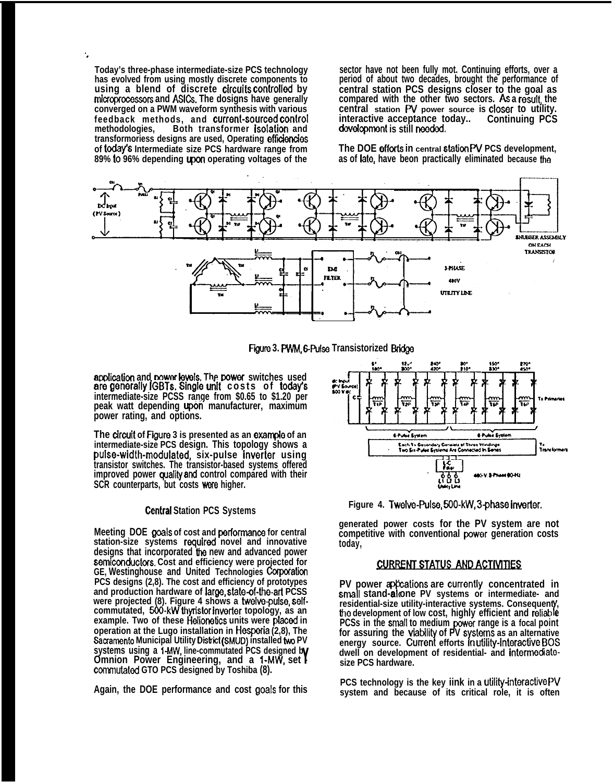**Today's three-phase intermediate-size PCS technology has evolved from using mostly discrete components to using a blend of discrete circuits controlled by micrqmcmssors and ASiCs. The dosigns have generally converged on a PWM waveform synthesis with various feedback methods, and current-sourced controi methodologies, Both transformer isoiation and transformoriess designs are used, Operating effienoies** of today's Intermediate size PCS hardware range from **89% to 96% depending lpon operating voltages of the**

".

**sector have not been fully mot. Continuing efforts, over a period of about two decades, brought the performance of central station PCS designs closer to the goal as compared with the other two sectors. As a resuit, the central station W power source is cioser to utility. interactive acceptance today.. Continuing PCS** development is still needed.

**The DOE efforts in central station PV PCS development, as of late, have beon practically eliminated because the**





application and power levels. The power switches used **are generally IGBTs. Single unit costs of today's intermediate-size PCSS range from \$0.65 to \$1.20 per peak watt depending upbn manufacturer, maximum power rating, and options.**

**The circuit of Figure 3 is presented as an example of an intermediate-size PCS design. This topology shows a puise-width-modulated, six-pulse inverter using transistor switches. The transistor-based systems offered improved** power quality and control compared with their **SCR** counterparts, but costs were higher.

#### **Centrai Station PCS Systems**

**Meeting DOE goais of cost and pedonnanca for central** station-size systems required novel and innovative **designs that incorporated the new and advanced power semiccmductors. Cost and efficiency were projected for GE, Westinghouse and United Technologies Corporaticm PCS designs (2,8). The cost and efficiency of prototypes and production hardware of iarge, state-of-tbart PCSS were projected (8). Figure 4 shows a twelve-puise, selfcommutated, 600-kW thyristor inverter topology, as an example. Two of these Heiionetjcs units were pfaced in operation at the Lugo installation in Hesperia (2,8), The Sacramento Municipal Utility District (SMUD) installed two PV systems using a 1-MW, line-commutated PCS designed b Omnion Power Engineering, and a 1-MW, set F commutated GTO PCS designed by Toshiba (8).** 

**Again, the DOE performance and cost goais for this**



**Figure 4. Twelve-Pulse, 500-kW, 3-phase inverter.** 

**generated power costs for the PV system are not competitive with conventional powor generation costs today,**

#### **CURRENT STATUS AND ACTIVITIES**

**PV** power appositions are currently concentrated in **small stand-alone PV systems or intermediate- and** residential-size utility-interactive systems. Consequenty, **tho development of low cost, highly efficient and relieb e/' PCSs in the smali to medium lwwer range is a focal point for assuring the viabiiity of PV systems as an alternative energy source. Cument efforts m utiiity-interactive B(X5 dwell on development of residential- and intermediatesize PCS hardware.**

**PCS technology is the key iink in a utiiity-interactive W/ system and because of its critical role, it is often**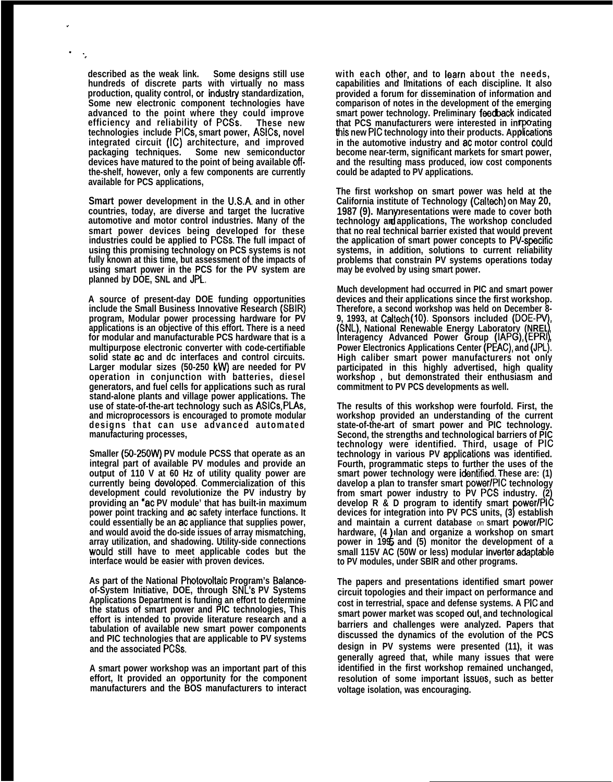**described as the weak link. Some designs still use hundreds of discrete parts with virtually no mass** production, quality control, or industry standardization, **Some new electronic component technologies have advanced to the point where they could improve efficiency and reliability of PCSs. technologies include PICS, smart power, ASiCs, novel integrated circuit (iC) architecture, and improved** Some new semiconductor **devices have matured to the point of being available offthe-shelf, however, only a few components are currently available for PCS applications,**

.

. ",

> **Smart power development in the U.S.A. and in other countries, today, are diverse and target the lucrative automotive and motor control industries. Many of the smart power devices being developed for these industries could be applied to PCSS. The full impact of using this promising technology on PCS systems is not fully known at this time, but assessment of the impacts of using smart power in the PCS for the PV system are planned by DOE, SNL and JPL,**

> **A source of present-day DOE funding opportunities include the Small Business Innovative Research (SBIR) program, Modular power processing hardware for PV applications is an objective of this effort. There is a need for modular and manufacturable PCS hardware that is a multipurpose electronic converter with code-certifiable solid state ac and dc interfaces and control circuits. Larger modular sizes (50-250 kw) are needed for PV operation in conjunction with batteries, diesel generators, and fuel cells for applications such as rural stand-alone plants and village power applications. The use of state-of-the-art technology such as ASiCs, PLAs, and microprocessors is encouraged to promote modular designs that can use advanced automated manufacturing processes,**

> **Smaller (50-250W) PV module PCSS that operate as an integral part of available PV modules and provide an output of 110 V at 60 Hz of utility quality power are currently being deveioped. Commercialization of this development could revolutionize the PV industry by providing an "ac PV module' that has built-in maximum power point tracking and ac safety interface functions. It could essentially be an ac appliance that supplies power, and would avoid the do-side issues of array mismatching, array utilization, and shadowing. Utility-side connections wouid still have to meet applicable codes but the interface would be easier with proven devices.**

> **As part of the National Photovoltaic Program's Balanceof-System Initiative, DOE, through SNL'S PV Systems Applications Department is funding an effort to determine the status of smart power and PIC technologies, This effort is intended to provide literature research and a tabulation of available new smart power components and PIC technologies that are applicable to PV systems and the associated PCSS,**

> **A smart power workshop was an important part of this effort, It provided an opportunity for the component manufacturers and the BOS manufacturers to interact**

with each other, and to learn about the needs, **capabilities and Imitations of each discipline. It also provided a forum for dissemination of information and comparison of notes in the development of the emerging smart power technology. Preliminary feecback indicated** that PCS manufacturers were interested in intpoating<br>this new PIC technology into their products. Applications<br>. **in the automotive industry and ac motor control couid become near-term, significant markets for smart power, and the resulting mass produced, iow cost components could be adapted to PV applications.**

**The first workshop on smart power was held at the California institute of Technology (Caltach) on May 20,** 1987 (9). Many resentations were made to cover both **technology and applications, The workshop concluded that no real technical barrier existed that would prevent the application of smart power concepts to PV-specific systems, in addition, solutions to current reliability problems that constrain PV systems operations today may be evolved by using smart power.**

**Much development had occurred in PIC and smart power devices and their applications since the first workshop. Therefore, a second workshop was held on December 8- 9, 1993, at Caltech (10). Sponsors included (DOE-PV), (SNL), National Renewable Energy Laboratory (NREL, Interagency Advanced Power Group (IAPG), (EPRI), Power Electronics Applications Center (PEAC), and (JPL). High caliber smart power manufacturers not only participated in this highly advertised, high quality workshop , but demonstrated their enthusiasm and commitment to PV PCS developments as well.**

**The results of this workshop were fourfold. First, the workshop provided an understanding of the current state-of-the-art of smart power and PIC technology. Second, the strengths and technological barriers of PIC technology were identified. Third, usage of PIC technology in various PV appiicaticms was identified. Fourth, programmatic steps to further the uses of the smart power technology were identifif)d, These are: (1) davelop a plan to transfer smart power/PIC technology** from smart power industry to PV PCS industry. (2) **develop R & D program to identify smart power/PIC devices for integration into PV PCS units, (3) establish and maintain a current database** on **smart power/PIC hardware, (4 plan and organize a workshop on smart power in 199, and (5) monitor the development of a & small 115V AC (50W or less) modular inverter adaptabie to PV modules, under SBIR and other programs.**

**The papers and presentations identified smart power circuit topologies and their impact on performance and cost in terrestrial, space and defense systems. A PiC and smart power market was scoped out, and technological barriers and challenges were analyzed. Papers that discussed the dynamics of the evolution of the PCS design in PV systems were presented (11), it was generally agreed that, while many issues that were identified in the first workshop remained unchanged, resolution of some important issuas, such as better voltage isolation, was encouraging.**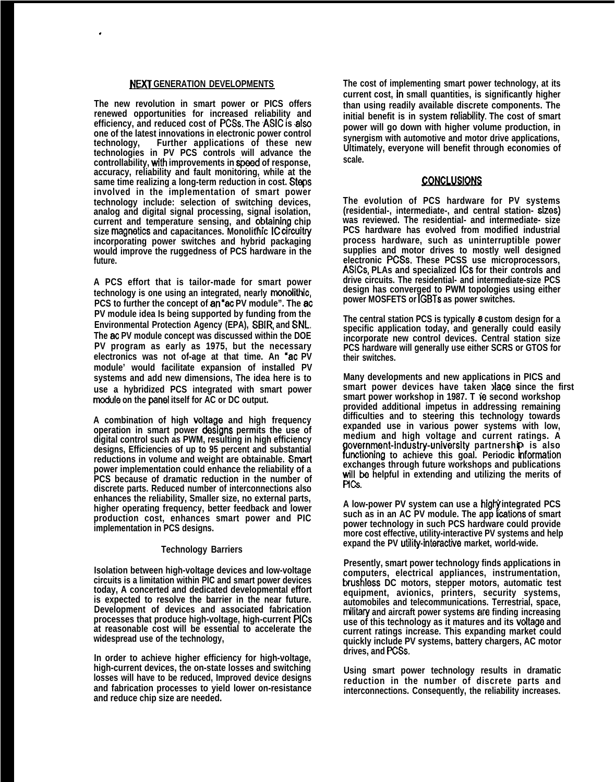## NEXT **GENERATION DEVELOPMENTS**

.

**The new revolution in smart power or PICS offers renewed opportunities for increased reliability and efficiency, and reduced cost of PCSS, The ASIC is also one of the latest innovations in electronic power control Further applications of these new technologies in PV PCS controls will advance the** controllability, with improvements in speed of response, **accuracy, reliability and fault monitoring, while at the same time realizing a long-term reduction in cost. Steps involved in the implementation of smart power technology include: selection of switching devices, analog and digital signal processing, signal isolation,** current and temperature sensing, and obtaining chip **size magnetics and capacitances. Monolithic IC circuitry incorporating power switches and hybrid packaging would improve the ruggedness of PCS hardware in the future.**

**A PCS effort that is tailor-made for smart power technology is one using an integrated, nearly rnonotithic, PCS to further the concept of an "ac PV module". The ac PV module idea Is being supported by funding from the Environmental Protection Agency (EPA), SBIR, and SNL, The ao PV module concept was discussed within the DOE PV program as early as 1975, but the necessary electronics was not of-age at that time. An "ac PV module' would facilitate expansion of installed PV systems and add new dimensions, The idea here is to use a hybridized PCS integrated with smart power mcdule on the panel itself for AC or DC output.**

A combination of high **voltage** and high frequency **operation in smart power designs permits the use of digital control such as PWM, resulting in high efficiency designs, Efficiencies of up to 95 percent and substantial** reductions in volume and weight are obtainable. Smart **power implementation could enhance the reliability of a PCS because of dramatic reduction in the number of discrete parts. Reduced number of interconnections also enhances the reliability, Smaller size, no external parts, higher operating frequency, better feedback and lower production cost, enhances smart power and PIC implementation in PCS designs.**

### **Technology Barriers**

**Isolation between high-voltage devices and low-voltage circuits is a limitation within PIC and smart power devices today, A concerted and dedicated developmental effort is expected to resolve the barrier in the near future. Development of devices and associated fabrication processes that produce high-voltage, high-current PICS at reasonable cost will be essential to accelerate the widespread use of the technology,**

**In order to achieve higher efficiency for high-voltage, high-current devices, the on-state losses and switching losses will have to be reduced, Improved device designs and fabrication processes to yield lower on-resistance and reduce chip size are needed.**

**The cost of implementing smart power technology, at its current cost, in small quantities, is significantly higher than using readily available discrete components. The initial benefit is in system retiablity. The cost of smart power will go down with higher volume production, in synergism with automotive and motor drive applications, Ultimately, everyone will benefit through economies of scale.**

## <u>CONCLUSIONS</u>

**The evolution of PCS hardware for PV systems (residential-, intermediate-, and central station- sizes) was reviewed. The residential- and intermediate- size PCS hardware has evolved from modified industrial process hardware, such as uninterruptible power supplies and motor drives to mostly well designed electronic PCSS. These PCSS use microprocessors, ASICS, PLAs and specialized ICS for their controls and drive circuits. The residential- and intermediate-size PCS design has converged to PWM topologies using either power MOSFETS or IGBTs as power switches.**

**The central station PCS is typically a custom design for a specific application today, and generally could easily incorporate new control devices. Central station size PCS hardware will generally use either SCRS or GTOS for their switches.**

**Many developments and new applications in PICS and smart power devices have taken iace since the first** smart power workshop in 1987. T ie second workshop **provided additional impetus in addressing remaining difficulties and to steering this technology towards expanded use in various power systems with low, medium and high voltage and current ratings. A ! overnment-industry-university partnership is also unctioning to achieve this goal. Periodic rnformation exchanges through future workshops and publications** will be helpful in extending and utilizing the merits of **PICs**.

A low-power PV system can use a highy integrated PCS such as in an AC PV module. The app lcations of smart **power technology in such PCS hardware could provide more cost effective, utility-interactive PV systems and help expand the PV utility-interacfwe market, world-wide.**

**Presently, smart power technology finds applications in computers, electrical appliances, instrumentation, brushless DC motors, stepper motors, automatic test equipment, avionics, printers, security systems, automobiles and telecommunications. Terrestrial, space, nilitary and aircraft power systems are finding increasing use of this technology as it matures and its vottage and current ratings increase. This expanding market could quickly include PV systems, battery chargers, AC motor drives, and PCSS.**

**Using smart power technology results in dramatic reduction in the number of discrete parts and interconnections. Consequently, the reliability increases.**